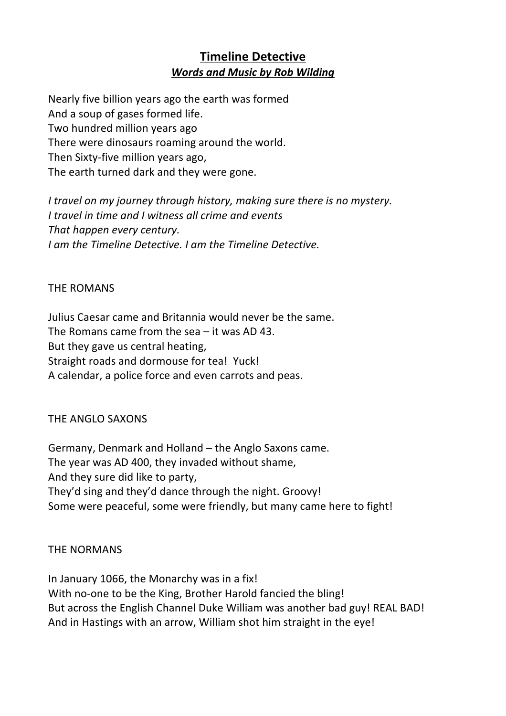# **Timeline Detective Words and Music by Rob Wilding**

Nearly five billion years ago the earth was formed And a soup of gases formed life. Two hundred million years ago There were dinosaurs roaming around the world. Then Sixty-five million years ago, The earth turned dark and they were gone.

*I* travel on my journey through history, making sure there is no mystery. *I* travel in time and *I* witness all crime and events That happen every century. *I am the Timeline Detective. I am the Timeline Detective.* 

#### THE ROMANS

Julius Caesar came and Britannia would never be the same. The Romans came from the sea  $-$  it was AD 43. But they gave us central heating, Straight roads and dormouse for tea! Yuck! A calendar, a police force and even carrots and peas.

### THE ANGLO SAXONS

Germany, Denmark and Holland – the Anglo Saxons came. The year was AD 400, they invaded without shame, And they sure did like to party, They'd sing and they'd dance through the night. Groovy! Some were peaceful, some were friendly, but many came here to fight!

#### **THE NORMANS**

In January 1066, the Monarchy was in a fix! With no-one to be the King, Brother Harold fancied the bling! But across the English Channel Duke William was another bad guy! REAL BAD! And in Hastings with an arrow, William shot him straight in the eye!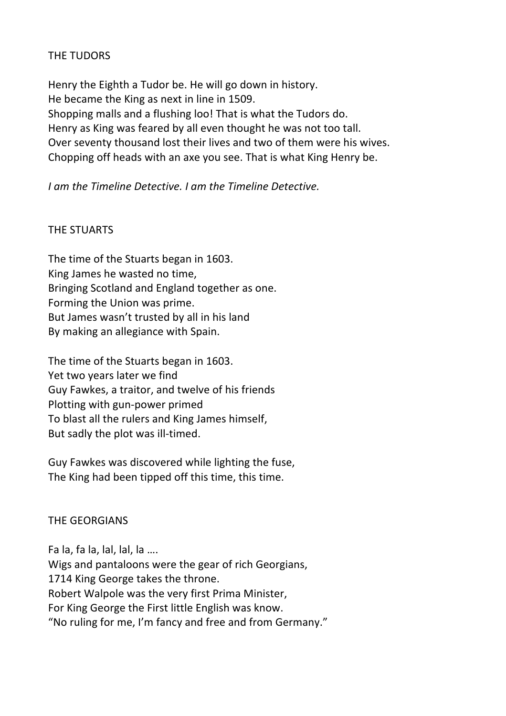# THE TUDORS

Henry the Eighth a Tudor be. He will go down in history. He became the King as next in line in 1509. Shopping malls and a flushing loo! That is what the Tudors do. Henry as King was feared by all even thought he was not too tall. Over seventy thousand lost their lives and two of them were his wives. Chopping off heads with an axe you see. That is what King Henry be.

# *<i>I* am the Timeline Detective. *I* am the Timeline Detective.

# THE STUARTS

The time of the Stuarts began in 1603. King James he wasted no time, Bringing Scotland and England together as one. Forming the Union was prime. But James wasn't trusted by all in his land By making an allegiance with Spain.

The time of the Stuarts began in 1603. Yet two years later we find Guy Fawkes, a traitor, and twelve of his friends Plotting with gun-power primed To blast all the rulers and King James himself, But sadly the plot was ill-timed.

Guy Fawkes was discovered while lighting the fuse. The King had been tipped off this time, this time.

### **THE GEORGIANS**

Fa la, fa la, lal, lal, la .... Wigs and pantaloons were the gear of rich Georgians, 1714 King George takes the throne. Robert Walpole was the very first Prima Minister, For King George the First little English was know. "No ruling for me, I'm fancy and free and from Germany."